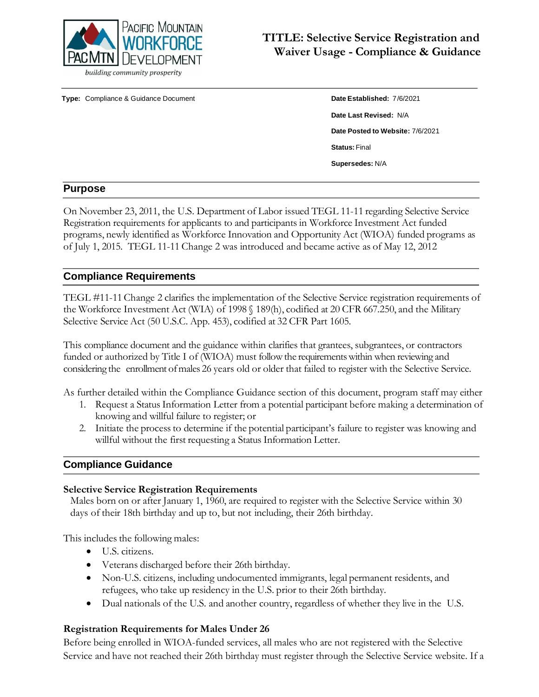

**Type:** Compliance & Guidance Document **Date Established:** 7/6/2021

**Date Last Revised:** N/A **Date Posted to Website:** 7/6/2021 **Status:** Final **Supersedes:** N/A

#### **Purpose**

On November 23, 2011, the U.S. Department of Labor issued TEGL 11-11 regarding Selective Service Registration requirements for applicants to and participants in Workforce Investment Act funded programs, newly identified as Workforce Innovation and Opportunity Act (WIOA) funded programs as of July 1, 2015. TEGL 11-11 Change 2 was introduced and became active as of May 12, 2012

### **Compliance Requirements**

TEGL #11-11Change 2 clarifies the implementation of the Selective Service registration requirements of the Workforce Investment Act (WIA) of 1998 § 189(h), codified at 20 CFR 667.250, and the Military Selective Service Act (50 U.S.C. App. 453), codified at 32 CFR Part 1605.

This compliance document and the guidance within clarifies that grantees, subgrantees, or contractors funded or authorized by Title I of (WIOA) must followthe requirementswithin when reviewing and considering the enrollment ofmales 26 years old or older that failed to register with the Selective Service.

As further detailed within the Compliance Guidance section of this document, program staff may either

- 1. Request a Status Information Letter from a potential participant before making a determination of knowing and willful failure to register; or
- 2. Initiate the processto determine if the potential participant's failure to register was knowing and willful without the first requesting a Status Information Letter.

#### **Compliance Guidance**

#### **Selective Service Registration Requirements**

Males born on or after January 1, 1960, are required to register with the Selective Service within 30 days of their 18th birthday and up to, but not including, their 26th birthday.

This includes the following males:

- U.S. citizens.
- Veterans discharged before their 26th birthday.
- Non-U.S. citizens, including undocumented immigrants, legal permanent residents, and refugees, who take up residency in the U.S. prior to their 26th birthday.
- Dual nationals of the U.S. and another country, regardless of whether they live in the U.S.

#### **Registration Requirements for Males Under 26**

Before being enrolled in WIOA-funded services, all males who are not registered with the Selective Service and have not reached their 26th birthday must register through the Selective Service website. If a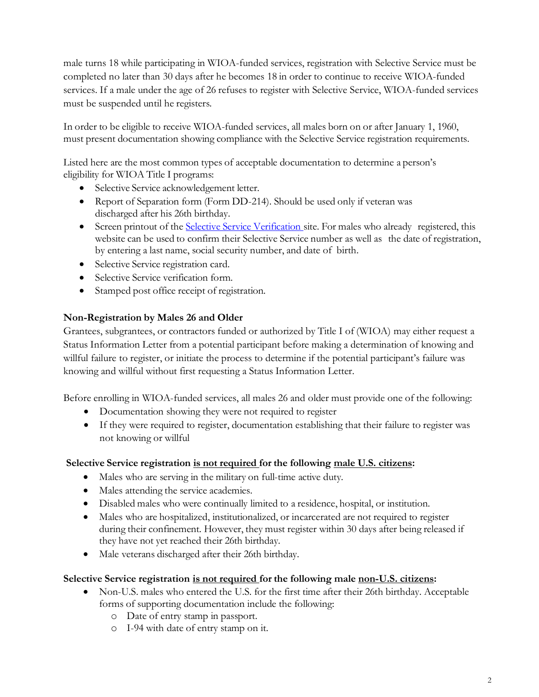male turns 18 while participating in WIOA-funded services, registration with Selective Service must be completed no later than 30 days after he becomes 18 in order to continue to receive WIOA-funded services. If a male under the age of 26 refuses to register with Selective Service, WIOA-funded services must be suspended until he registers.

In order to be eligible to receive WIOA-funded services, all males born on or after January 1, 1960, must present documentation showing compliance with the Selective Service registration requirements.

Listed here are the most common types of acceptable documentation to determine a person's eligibility for WIOA Title I programs:

- Selective Service acknowledgement letter.
- Report of Separation form (Form DD-214). Should be used only if veteran was discharged after his 26th birthday.
- Screen printout of the Selective Service [Verification](https://www.sss.gov/) site. For males who already registered, this website can be used to confirm their Selective Service number as well as the date of registration, by entering a last name, social security number, and date of birth.
- Selective Service registration card.
- Selective Service verification form.
- Stamped post office receipt of registration.

## **Non-Registration by Males 26 and Older**

Grantees, subgrantees, or contractors funded or authorized by Title I of (WIOA) may either request a Status Information Letter from a potential participant before making a determination of knowing and willful failure to register, or initiate the process to determine if the potential participant's failure was knowing and willful without first requesting a Status Information Letter.

Before enrolling in WIOA-funded services, all males 26 and older must provide one of the following:

- Documentation showing they were not required to register
- If they were required to register, documentation establishing that their failure to register was not knowing or willful

### **Selective Service registration is not required for the following male U.S. citizens:**

- Males who are serving in the military on full-time active duty.
- Males attending the service academies.
- Disabled males who were continually limited to a residence, hospital, or institution.
- Males who are hospitalized, institutionalized, or incarcerated are not required to register during their confinement. However, they must register within 30 days after being released if they have not yet reached their 26th birthday.
- Male veterans discharged after their 26th birthday.

### **Selective Service registration is not required for the following male non-U.S. citizens:**

- Non-U.S. males who entered the U.S. for the first time after their 26th birthday. Acceptable forms of supporting documentation include the following:
	- o Date of entry stamp in passport.
	- o I-94 with date of entry stamp on it.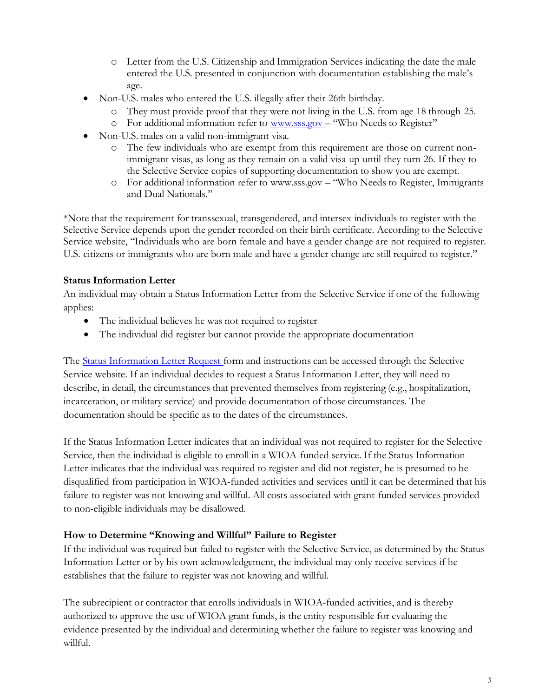- o Letter from the U.S. Citizenship and Immigration Services indicating the date the male entered the U.S. presented in conjunction with documentation establishing the male's age.
- Non-U.S. males who entered the U.S. illegally after their 26th birthday.
	- o They must provide proof that they were not living in the U.S. from age 18 through 25.
	- o For additional information refer to [www.sss.gov](http://www.sss.gov/) "Who Needs to Register"
- Non-U.S. males on a valid non-immigrant visa.
	- o The few individuals who are exempt from this requirement are those on current nonimmigrant visas, as long as they remain on a valid visa up until they turn 26. If they to the Selective Service copies of supporting documentation to show you are exempt.
	- o For additional information refer to [www.sss.gov](http://www.sss.gov/) "Who Needs to Register, Immigrants and Dual Nationals."

\*Note that the requirement for transsexual, transgendered, and intersex individuals to register with the Selective Service depends upon the gender recorded on their birth certificate. According to the Selective Service website, "Individuals who are born female and have a gender change are not required to register. U.S. citizens or immigrants who are born male and have a gender change are still required to register."

### **Status Information Letter**

An individual may obtain a Status Information Letter from the Selective Service if one of the following applies:

- The individual believes he was not required to register
- The individual did register but cannot provide the appropriate documentation

The Status Information [Letter Request](https://www.sss.gov/Forms) form and instructions can be accessed through the Selective Service website. If an individual decides to request a Status Information Letter, they will need to describe, in detail, the circumstances that prevented themselves from registering (e.g., hospitalization, incarceration, or military service) and provide documentation of those circumstances. The documentation should be specific as to the dates of the circumstances.

If the Status Information Letter indicates that an individual was not required to register for the Selective Service, then the individual is eligible to enroll in a WIOA-funded service. If the Status Information Letter indicates that the individual was required to register and did not register, he is presumed to be disqualified from participation in WIOA-funded activities and services until it can be determined that his failure to register was not knowing and willful. All costs associated with grant-funded services provided to non-eligible individuals may be disallowed.

#### **How to Determine "Knowing and Willful" Failure to Register**

If the individual was required but failed to register with the Selective Service, as determined by the Status Information Letter or by his own acknowledgement, the individual may only receive services if he establishes that the failure to register was not knowing and willful.

The subrecipient or contractor that enrolls individuals in WIOA-funded activities, and is thereby authorized to approve the use of WIOA grant funds, is the entity responsible for evaluating the evidence presented by the individual and determining whether the failure to register was knowing and willful.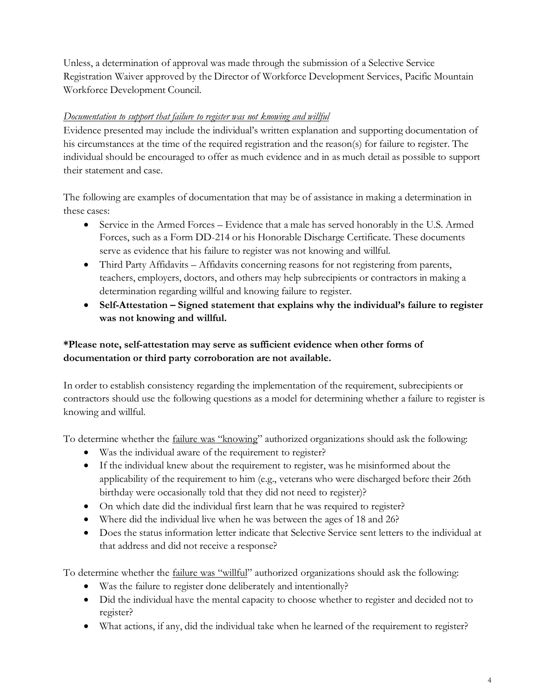Unless, a determination of approval was made through the submission of a Selective Service Registration Waiver approved by the Director of Workforce Development Services, Pacific Mountain Workforce Development Council.

## *Documentation to support that failure to register was not knowing and willful*

Evidence presented may include the individual's written explanation and supporting documentation of his circumstances at the time of the required registration and the reason(s) for failure to register. The individual should be encouraged to offer as much evidence and in as much detail as possible to support their statement and case.

The following are examples of documentation that may be of assistance in making a determination in these cases:

- Service in the Armed Forces Evidence that a male has served honorably in the U.S. Armed Forces, such as a Form DD-214 or his Honorable Discharge Certificate. These documents serve as evidence that his failure to register was not knowing and willful.
- Third Party Affidavits Affidavits concerning reasons for not registering from parents, teachers, employers, doctors, and others may help subrecipients or contractors in making a determination regarding willful and knowing failure to register.
- **Self-Attestation – Signed statement that explains why the individual's failure to register was not knowing and willful.**

# **\*Please note, self-attestation may serve as sufficient evidence when other forms of documentation or third party corroboration are not available.**

In order to establish consistency regarding the implementation of the requirement, subrecipients or contractors should use the following questions as a model for determining whether a failure to register is knowing and willful.

To determine whether the failure was "knowing" authorized organizations should ask the following:

- Was the individual aware of the requirement to register?
- If the individual knew about the requirement to register, was he misinformed about the applicability of the requirement to him (e.g., veterans who were discharged before their 26th birthday were occasionally told that they did not need to register)?
- On which date did the individual first learn that he was required to register?
- Where did the individual live when he was between the ages of 18 and 26?
- Does the status information letter indicate that Selective Service sent letters to the individual at that address and did not receive a response?

To determine whether the *failure was* "willful" authorized organizations should ask the following:

- Was the failure to register done deliberately and intentionally?
- Did the individual have the mental capacity to choose whether to register and decided not to register?
- What actions, if any, did the individual take when he learned of the requirement to register?